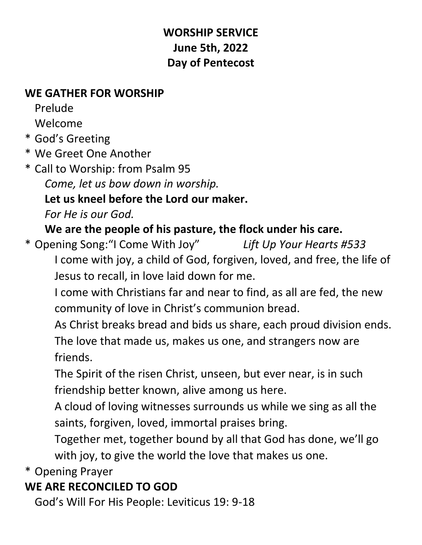### **WORSHIP SERVICE June 5th, 2022 Day of Pentecost**

#### **WE GATHER FOR WORSHIP**

Prelude

Welcome

\* God's Greeting

\* We Greet One Another

\* Call to Worship: from Psalm 95 *Come, let us bow down in worship.* **Let us kneel before the Lord our maker.** *For He is our God.*

## **We are the people of his pasture, the flock under his care.**

\* Opening Song:"I Come With Joy" *Lift Up Your Hearts #533* I come with joy, a child of God, forgiven, loved, and free, the life of Jesus to recall, in love laid down for me.

I come with Christians far and near to find, as all are fed, the new community of love in Christ's communion bread.

As Christ breaks bread and bids us share, each proud division ends. The love that made us, makes us one, and strangers now are friends.

The Spirit of the risen Christ, unseen, but ever near, is in such friendship better known, alive among us here.

A cloud of loving witnesses surrounds us while we sing as all the saints, forgiven, loved, immortal praises bring.

Together met, together bound by all that God has done, we'll go with joy, to give the world the love that makes us one.

\* Opening Prayer

# **WE ARE RECONCILED TO GOD**

God's Will For His People: Leviticus 19: 9-18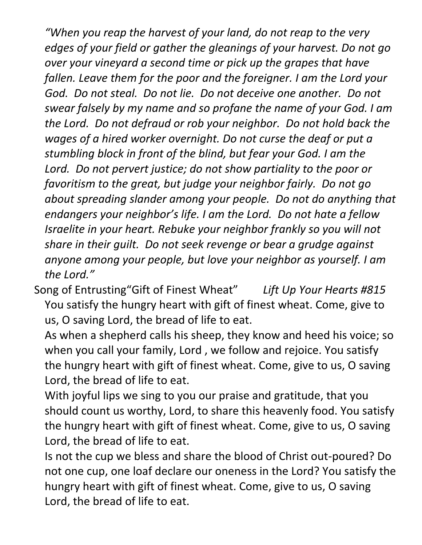*"When you reap the harvest of your land, do not reap to the very edges of your field or gather the gleanings of your harvest. Do not go over your vineyard a second time or pick up the grapes that have fallen. Leave them for the poor and the foreigner. I am the Lord your God. Do not steal. Do not lie. Do not deceive one another. Do not swear falsely by my name and so profane the name of your God. I am the Lord. Do not defraud or rob your neighbor. Do not hold back the wages of a hired worker overnight. Do not curse the deaf or put a stumbling block in front of the blind, but fear your God. I am the Lord. Do not pervert justice; do not show partiality to the poor or favoritism to the great, but judge your neighbor fairly. Do not go about spreading slander among your people. Do not do anything that endangers your neighbor's life. I am the Lord. Do not hate a fellow Israelite in your heart. Rebuke your neighbor frankly so you will not share in their guilt. Do not seek revenge or bear a grudge against anyone among your people, but love your neighbor as yourself. I am the Lord."*

Song of Entrusting"Gift of Finest Wheat" *Lift Up Your Hearts #815* You satisfy the hungry heart with gift of finest wheat. Come, give to us, O saving Lord, the bread of life to eat.

As when a shepherd calls his sheep, they know and heed his voice; so when you call your family, Lord , we follow and rejoice. You satisfy the hungry heart with gift of finest wheat. Come, give to us, O saving Lord, the bread of life to eat.

With joyful lips we sing to you our praise and gratitude, that you should count us worthy, Lord, to share this heavenly food. You satisfy the hungry heart with gift of finest wheat. Come, give to us, O saving Lord, the bread of life to eat.

Is not the cup we bless and share the blood of Christ out-poured? Do not one cup, one loaf declare our oneness in the Lord? You satisfy the hungry heart with gift of finest wheat. Come, give to us, O saving Lord, the bread of life to eat.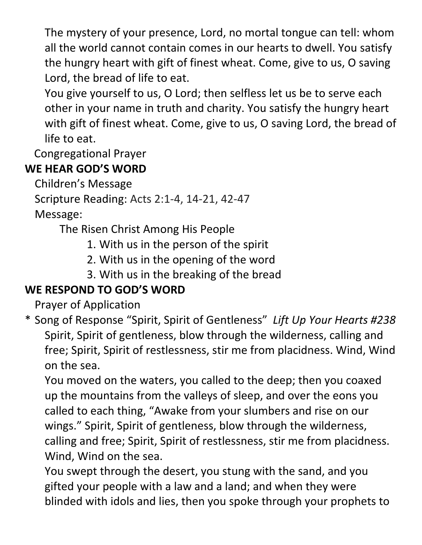The mystery of your presence, Lord, no mortal tongue can tell: whom all the world cannot contain comes in our hearts to dwell. You satisfy the hungry heart with gift of finest wheat. Come, give to us, O saving Lord, the bread of life to eat.

You give yourself to us, O Lord; then selfless let us be to serve each other in your name in truth and charity. You satisfy the hungry heart with gift of finest wheat. Come, give to us, O saving Lord, the bread of life to eat.

Congregational Prayer

## **WE HEAR GOD'S WORD**

Children's Message

Scripture Reading: Acts 2:1-4, 14-21, 42-47

Message:

The Risen Christ Among His People

- 1. With us in the person of the spirit
- 2. With us in the opening of the word
- 3. With us in the breaking of the bread

## **WE RESPOND TO GOD'S WORD**

Prayer of Application

\* Song of Response "Spirit, Spirit of Gentleness" *Lift Up Your Hearts #238* Spirit, Spirit of gentleness, blow through the wilderness, calling and free; Spirit, Spirit of restlessness, stir me from placidness. Wind, Wind on the sea.

You moved on the waters, you called to the deep; then you coaxed up the mountains from the valleys of sleep, and over the eons you called to each thing, "Awake from your slumbers and rise on our wings." Spirit, Spirit of gentleness, blow through the wilderness, calling and free; Spirit, Spirit of restlessness, stir me from placidness. Wind, Wind on the sea.

You swept through the desert, you stung with the sand, and you gifted your people with a law and a land; and when they were blinded with idols and lies, then you spoke through your prophets to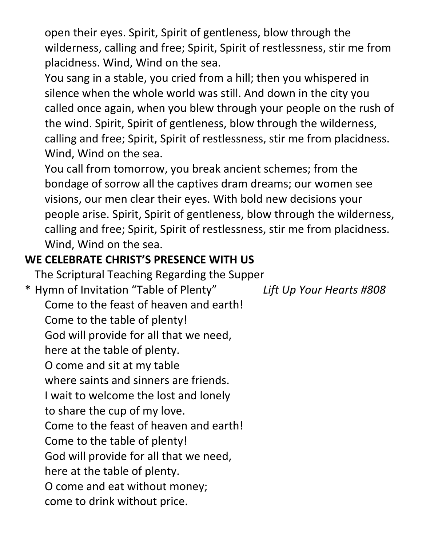open their eyes. Spirit, Spirit of gentleness, blow through the wilderness, calling and free; Spirit, Spirit of restlessness, stir me from placidness. Wind, Wind on the sea.

You sang in a stable, you cried from a hill; then you whispered in silence when the whole world was still. And down in the city you called once again, when you blew through your people on the rush of the wind. Spirit, Spirit of gentleness, blow through the wilderness, calling and free; Spirit, Spirit of restlessness, stir me from placidness. Wind, Wind on the sea.

You call from tomorrow, you break ancient schemes; from the bondage of sorrow all the captives dram dreams; our women see visions, our men clear their eyes. With bold new decisions your people arise. Spirit, Spirit of gentleness, blow through the wilderness, calling and free; Spirit, Spirit of restlessness, stir me from placidness. Wind, Wind on the sea.

### **WE CELEBRATE CHRIST'S PRESENCE WITH US**

The Scriptural Teaching Regarding the Supper \* Hymn of Invitation "Table of Plenty" *Lift Up Your Hearts #808* Come to the feast of heaven and earth! Come to the table of plenty! God will provide for all that we need, here at the table of plenty. O come and sit at my table where saints and sinners are friends. I wait to welcome the lost and lonely to share the cup of my love. Come to the feast of heaven and earth! Come to the table of plenty! God will provide for all that we need, here at the table of plenty. O come and eat without money; come to drink without price.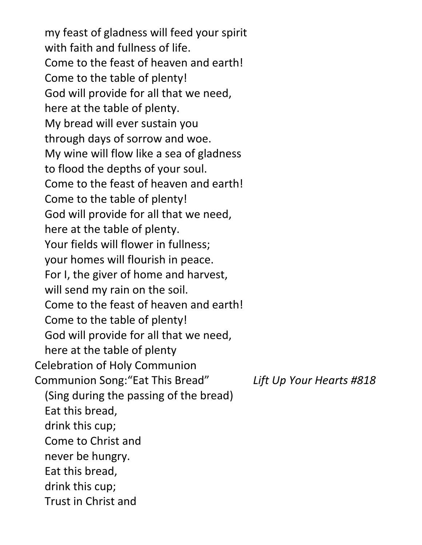my feast of gladness will feed your spirit with faith and fullness of life. Come to the feast of heaven and earth! Come to the table of plenty! God will provide for all that we need, here at the table of plenty. My bread will ever sustain you through days of sorrow and woe. My wine will flow like a sea of gladness to flood the depths of your soul. Come to the feast of heaven and earth! Come to the table of plenty! God will provide for all that we need, here at the table of plenty. Your fields will flower in fullness; your homes will flourish in peace. For I, the giver of home and harvest, will send my rain on the soil. Come to the feast of heaven and earth! Come to the table of plenty! God will provide for all that we need, here at the table of plenty Celebration of Holy Communion Communion Song:"Eat This Bread" *Lift Up Your Hearts #818* (Sing during the passing of the bread) Eat this bread, drink this cup; Come to Christ and never be hungry. Eat this bread, drink this cup; Trust in Christ and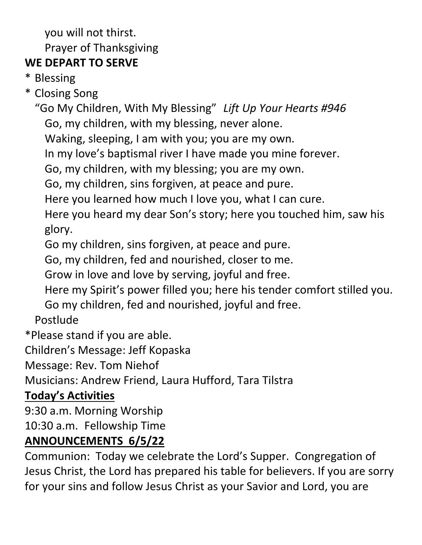you will not thirst. Prayer of Thanksgiving

### **WE DEPART TO SERVE**

\* Blessing

\* Closing Song

"Go My Children, With My Blessing" *Lift Up Your Hearts #946* Go, my children, with my blessing, never alone.

Waking, sleeping, I am with you; you are my own.

In my love's baptismal river I have made you mine forever.

Go, my children, with my blessing; you are my own.

Go, my children, sins forgiven, at peace and pure.

Here you learned how much I love you, what I can cure.

Here you heard my dear Son's story; here you touched him, saw his glory.

Go my children, sins forgiven, at peace and pure.

Go, my children, fed and nourished, closer to me.

Grow in love and love by serving, joyful and free.

Here my Spirit's power filled you; here his tender comfort stilled you. Go my children, fed and nourished, joyful and free.

Postlude

\*Please stand if you are able.

Children's Message: Jeff Kopaska

Message: Rev. Tom Niehof

Musicians: Andrew Friend, Laura Hufford, Tara Tilstra

### **Today's Activities**

9:30 a.m. Morning Worship

10:30 a.m. Fellowship Time

## **ANNOUNCEMENTS 6/5/22**

Communion: Today we celebrate the Lord's Supper. Congregation of Jesus Christ, the Lord has prepared his table for believers. If you are sorry for your sins and follow Jesus Christ as your Savior and Lord, you are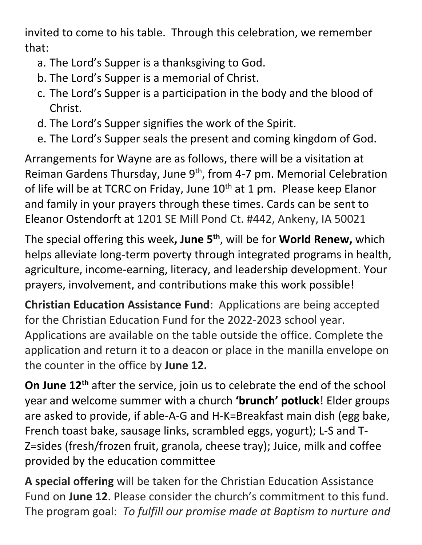invited to come to his table. Through this celebration, we remember that:

- a. The Lord's Supper is a thanksgiving to God.
- b. The Lord's Supper is a memorial of Christ.
- c. The Lord's Supper is a participation in the body and the blood of Christ.
- d. The Lord's Supper signifies the work of the Spirit.
- e. The Lord's Supper seals the present and coming kingdom of God.

Arrangements for Wayne are as follows, there will be a visitation at Reiman Gardens Thursday, June 9<sup>th</sup>, from 4-7 pm. Memorial Celebration of life will be at TCRC on Friday, June  $10<sup>th</sup>$  at 1 pm. Please keep Elanor and family in your prayers through these times. Cards can be sent to Eleanor Ostendorft at 1201 SE Mill Pond Ct. #442, Ankeny, IA 50021

The special offering this week**, June 5th**, will be for **World Renew,** which helps alleviate long-term poverty through integrated programs in health, agriculture, income-earning, literacy, and leadership development. Your prayers, involvement, and contributions make this work possible!

**Christian Education Assistance Fund**: Applications are being accepted for the Christian Education Fund for the 2022-2023 school year. Applications are available on the table outside the office. Complete the application and return it to a deacon or place in the manilla envelope on the counter in the office by **June 12.**

**On June 12th** after the service, join us to celebrate the end of the school year and welcome summer with a church **'brunch' potluck**! Elder groups are asked to provide, if able-A-G and H-K=Breakfast main dish (egg bake, French toast bake, sausage links, scrambled eggs, yogurt); L-S and T-Z=sides (fresh/frozen fruit, granola, cheese tray); Juice, milk and coffee provided by the education committee

**A special offering** will be taken for the Christian Education Assistance Fund on **June 12**. Please consider the church's commitment to this fund. The program goal: *To fulfill our promise made at Baptism to nurture and*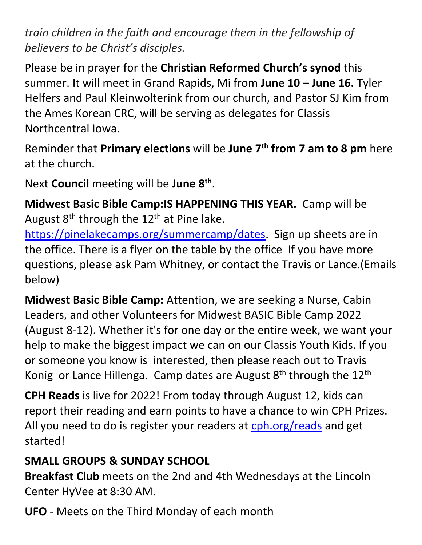*train children in the faith and encourage them in the fellowship of believers to be Christ's disciples.*

Please be in prayer for the **Christian Reformed Church's synod** this summer. It will meet in Grand Rapids, Mi from **June 10 – June 16.** Tyler Helfers and Paul Kleinwolterink from our church, and Pastor SJ Kim from the Ames Korean CRC, will be serving as delegates for Classis Northcentral Iowa.

Reminder that **Primary elections** will be **June 7th from 7 am to 8 pm** here at the church.

Next **Council** meeting will be **June 8th** .

**Midwest Basic Bible Camp:IS HAPPENING THIS YEAR.** Camp will be August  $8<sup>th</sup>$  through the 12<sup>th</sup> at Pine lake.

[https://pinelakecamps.org/summercamp/dates.](https://pinelakecamps.org/summercamp/dates) Sign up sheets are in the office. There is a flyer on the table by the office If you have more questions, please ask Pam Whitney, or contact the Travis or Lance.(Emails below)

**Midwest Basic Bible Camp:** Attention, we are seeking a Nurse, Cabin Leaders, and other Volunteers for Midwest BASIC Bible Camp 2022 (August 8-12). Whether it's for one day or the entire week, we want your help to make the biggest impact we can on our Classis Youth Kids. If you or someone you know is interested, then please reach out to Travis Konig or Lance Hillenga. Camp dates are August  $8<sup>th</sup>$  through the  $12<sup>th</sup>$ 

**CPH Reads** is live for 2022! From today through August 12, kids can report their reading and earn points to have a chance to win CPH Prizes. All you need to do is register your readers at [cph.org/reads](https://communication.cph.org/e3t/Ctc/DH+113/c359504/VVQhsJ7gHCr6W6gpsVY8qF79JW4vJbXQ4KLQWQN9k7M9h3q3n5V1-WJV7CgZdRW8bY8LS5BnSHJW5xwhBg8X-B6zVGCD7K9m0kSVW1d-MBR4qnv1xW12PMXq70pBbgW8q90Kb6WZ0F_VWJG-D8slZlbW7Fngrp4gjpM7W2dC1W15TWT09W5w1GPx8W9zGHN2tJGRkYFDVFW4k1Zcf7jbz8vVFLKy55h-vHDW73rvFj6tzS3YW1qX6zs5_xwF0W6FDvBp8zQVDYW3SVzyd6Rv2D5W4xk2Cd6B1CVMW4H_RJH1sxP4KW2xSFp738gbNH36TH1) and get started!

## **SMALL GROUPS & SUNDAY SCHOOL**

**Breakfast Club** meets on the 2nd and 4th Wednesdays at the Lincoln Center HyVee at 8:30 AM.

**UFO** - Meets on the Third Monday of each month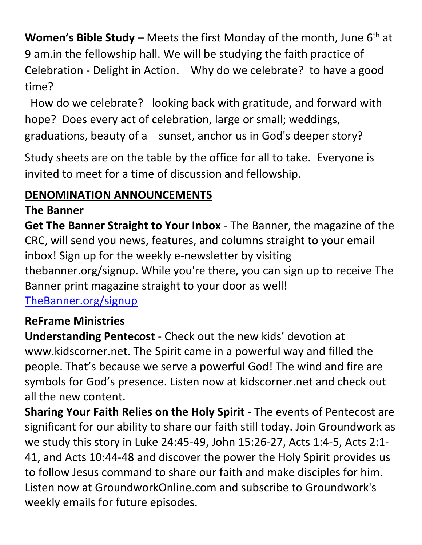**Women's Bible Study** – Meets the first Monday of the month, June 6<sup>th</sup> at 9 am.in the fellowship hall. We will be studying the faith practice of Celebration - Delight in Action. Why do we celebrate? to have a good time?

How do we celebrate? looking back with gratitude, and forward with hope? Does every act of celebration, large or small; weddings, graduations, beauty of a sunset, anchor us in God's deeper story?

Study sheets are on the table by the office for all to take. Everyone is invited to meet for a time of discussion and fellowship.

### **DENOMINATION ANNOUNCEMENTS**

### **The Banner**

**Get The Banner Straight to Your Inbox** - The Banner, the magazine of the CRC, will send you news, features, and columns straight to your email inbox! Sign up for the weekly e-newsletter by visiting thebanner.org/signup. While you're there, you can sign up to receive The Banner print magazine straight to your door as well!

[TheBanner.org/signup](file:///C:/Users/offic/Dropbox/TCRC%20Documents/1Sundays/TheBanner.org/signup)

### **ReFrame Ministries**

**Understanding Pentecost** - Check out the new kids' devotion at www.kidscorner.net. The Spirit came in a powerful way and filled the people. That's because we serve a powerful God! The wind and fire are symbols for God's presence. Listen now at kidscorner.net and check out all the new content.

**Sharing Your Faith Relies on the Holy Spirit** - The events of Pentecost are significant for our ability to share our faith still today. Join Groundwork as we study this story in Luke 24:45-49, John 15:26-27, Acts 1:4-5, Acts 2:1- 41, and Acts 10:44-48 and discover the power the Holy Spirit provides us to follow Jesus command to share our faith and make disciples for him. Listen now at GroundworkOnline.com and subscribe to Groundwork's weekly emails for future episodes.